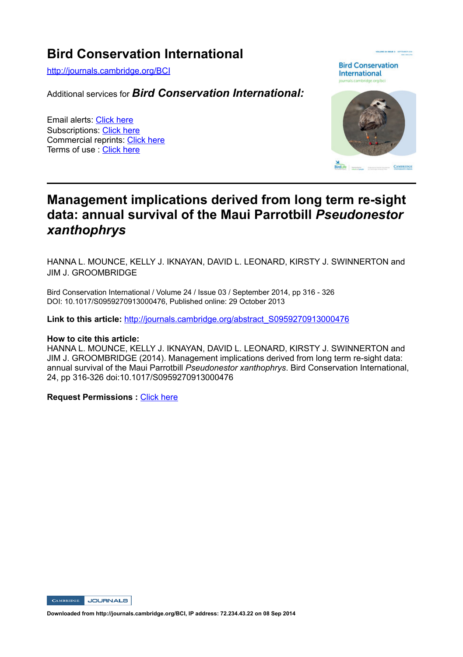# **Bird Conservation International**

http://journals.cambridge.org/BCI

Additional services for *Bird Conservation International:*

Email alerts: Click here Subscriptions: Click here Commercial reprints: Click here Terms of use : Click here

**Bird Conservation International** 



# **Management implications derived from long term re-sight data: annual survival of the Maui Parrotbill** *Pseudonestor xanthophrys*

HANNA L. MOUNCE, KELLY J. IKNAYAN, DAVID L. LEONARD, KIRSTY J. SWINNERTON and JIM J. GROOMBRIDGE

Bird Conservation International / Volume 24 / Issue 03 / September 2014, pp 316 - 326 DOI: 10.1017/S0959270913000476, Published online: 29 October 2013

**Link to this article:** http://journals.cambridge.org/abstract\_S0959270913000476

#### **How to cite this article:**

HANNA L. MOUNCE, KELLY J. IKNAYAN, DAVID L. LEONARD, KIRSTY J. SWINNERTON and JIM J. GROOMBRIDGE (2014). Management implications derived from long term re-sight data: annual survival of the Maui Parrotbill *Pseudonestor xanthophrys*. Bird Conservation International, 24, pp 316-326 doi:10.1017/S0959270913000476

**Request Permissions :** Click here



**Downloaded from http://journals.cambridge.org/BCI, IP address: 72.234.43.22 on 08 Sep 2014**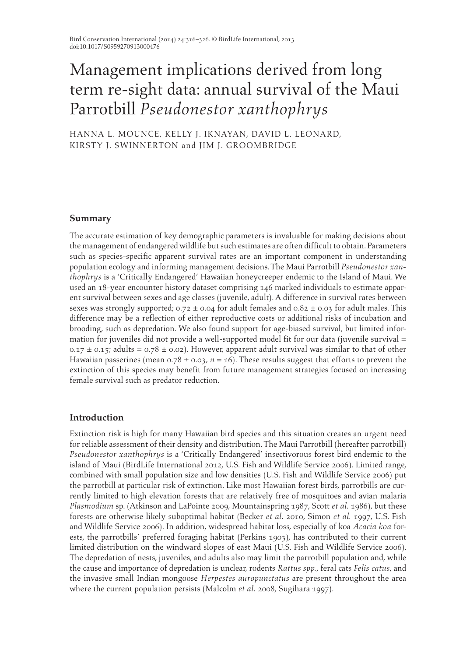# Management implications derived from long term re-sight data: annual survival of the Maui Parrotbill *Pseudonestor xanthophrys*

HANNA L. MOUNCE, KELLY J. IKNAYAN, DAVID L. LEONARD, KIRSTY J. SWINNERTON and JIM J. GROOMBRIDGE

# **Summary**

 The accurate estimation of key demographic parameters is invaluable for making decisions about the management of endangered wildlife but such estimates are often difficult to obtain. Parameters such as species-specific apparent survival rates are an important component in understanding population ecology and informing management decisions. The Maui Parrotbill *Pseudonestor xanthophrys* is a 'Critically Endangered' Hawaiian honeycreeper endemic to the Island of Maui. We used an 18-year encounter history dataset comprising 146 marked individuals to estimate apparent survival between sexes and age classes (juvenile, adult). A difference in survival rates between sexes was strongly supported;  $0.72 \pm 0.04$  for adult females and  $0.82 \pm 0.03$  for adult males. This difference may be a reflection of either reproductive costs or additional risks of incubation and brooding, such as depredation. We also found support for age-biased survival, but limited information for juveniles did not provide a well-supported model fit for our data (juvenile survival =  $0.17 \pm 0.15$ ; adults =  $0.78 \pm 0.02$ ). However, apparent adult survival was similar to that of other Hawaiian passerines (mean  $0.78 \pm 0.03$ ,  $n = 16$ ). These results suggest that efforts to prevent the extinction of this species may benefit from future management strategies focused on increasing female survival such as predator reduction.

# **Introduction**

 Extinction risk is high for many Hawaiian bird species and this situation creates an urgent need for reliable assessment of their density and distribution. The Maui Parrotbill (hereafter parrotbill) *Pseudonestor xanthophrys* is a 'Critically Endangered' insectivorous forest bird endemic to the island of Maui (BirdLife International 2012, U.S. Fish and Wildlife Service 2006). Limited range, combined with small population size and low densities (U.S. Fish and Wildlife Service 2006) put the parrotbill at particular risk of extinction. Like most Hawaiian forest birds, parrotbills are currently limited to high elevation forests that are relatively free of mosquitoes and avian malaria *Plasmodium* sp. (Atkinson and LaPointe 2009, Mountainspring 1987, Scott *et al.* 1986), but these forests are otherwise likely suboptimal habitat (Becker *et al.* 2010 , Simon *et al.* 1997 , U.S. Fish and Wildlife Service 2006). In addition, widespread habitat loss, especially of koa *Acacia koa* forests, the parrotbills' preferred foraging habitat (Perkins 1903 ), has contributed to their current limited distribution on the windward slopes of east Maui (U.S. Fish and Wildlife Service 2006). The depredation of nests, juveniles, and adults also may limit the parrotbill population and, while the cause and importance of depredation is unclear, rodents *Rattus spp.* , feral cats *Felis catus* , and the invasive small Indian mongoose *Herpestes auropunctatus* are present throughout the area where the current population persists (Malcolm *et al.* 2008, Sugihara 1997).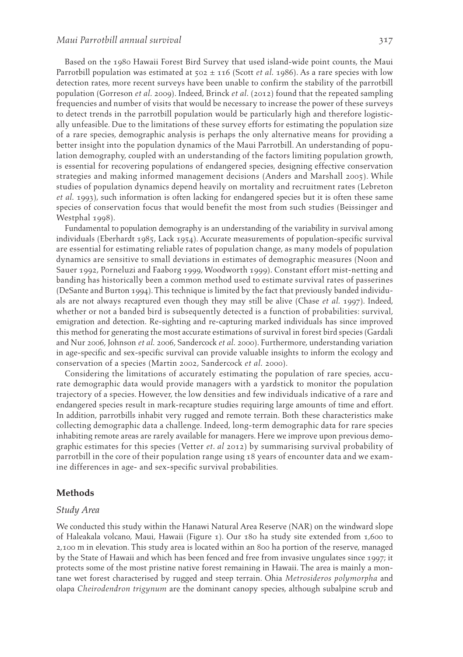Based on the 1980 Hawaii Forest Bird Survey that used island-wide point counts, the Maui Parrotbill population was estimated at  $502 \pm 116$  (Scott *et al.* 1986). As a rare species with low detection rates, more recent surveys have been unable to confirm the stability of the parrotbill population (Gorreson *et al.* 2009). Indeed, Brinck *et al.* (2012) found that the repeated sampling frequencies and number of visits that would be necessary to increase the power of these surveys to detect trends in the parrotbill population would be particularly high and therefore logistically unfeasible. Due to the limitations of these survey efforts for estimating the population size of a rare species, demographic analysis is perhaps the only alternative means for providing a better insight into the population dynamics of the Maui Parrotbill. An understanding of population demography, coupled with an understanding of the factors limiting population growth, is essential for recovering populations of endangered species, designing effective conservation strategies and making informed management decisions (Anders and Marshall 2005). While studies of population dynamics depend heavily on mortality and recruitment rates (Lebreton *et al.* 1993 ), such information is often lacking for endangered species but it is often these same species of conservation focus that would benefit the most from such studies (Beissinger and Westphal 1998).

 Fundamental to population demography is an understanding of the variability in survival among individuals (Eberhardt 1985 , Lack 1954 ). Accurate measurements of population-specific survival are essential for estimating reliable rates of population change, as many models of population dynamics are sensitive to small deviations in estimates of demographic measures (Noon and Sauer 1992 , Porneluzi and Faaborg 1999 , Woodworth 1999 ). Constant effort mist-netting and banding has historically been a common method used to estimate survival rates of passerines (DeSante and Burton 1994 ). This technique is limited by the fact that previously banded individuals are not always recaptured even though they may still be alive (Chase *et al.* 1997 ). Indeed, whether or not a banded bird is subsequently detected is a function of probabilities: survival, emigration and detection. Re-sighting and re-capturing marked individuals has since improved this method for generating the most accurate estimations of survival in forest bird species (Gardali and Nur 2006 , Johnson *et al.* 2006 , Sandercock *et al.* 2000 ). Furthermore, understanding variation in age-specific and sex-specific survival can provide valuable insights to inform the ecology and conservation of a species (Martin 2002, Sandercock et al. 2000).

 Considering the limitations of accurately estimating the population of rare species, accurate demographic data would provide managers with a yardstick to monitor the population trajectory of a species. However, the low densities and few individuals indicative of a rare and endangered species result in mark-recapture studies requiring large amounts of time and effort. In addition, parrotbills inhabit very rugged and remote terrain. Both these characteristics make collecting demographic data a challenge. Indeed, long-term demographic data for rare species inhabiting remote areas are rarely available for managers. Here we improve upon previous demographic estimates for this species (Vetter *et. al* 2012 ) by summarising survival probability of parrotbill in the core of their population range using 18 years of encounter data and we examine differences in age- and sex-specific survival probabilities.

#### **Methods**

#### *Study Area*

 We conducted this study within the Hanawi Natural Area Reserve (NAR) on the windward slope of Haleakala volcano, Maui, Hawaii (Figure 1). Our 180 ha study site extended from 1,600 to 2,100 m in elevation. This study area is located within an 800 ha portion of the reserve, managed by the State of Hawaii and which has been fenced and free from invasive ungulates since 1997; it protects some of the most pristine native forest remaining in Hawaii. The area is mainly a montane wet forest characterised by rugged and steep terrain. Ohia *Metrosideros polymorpha* and olapa *Cheirodendron trigynum* are the dominant canopy species, although subalpine scrub and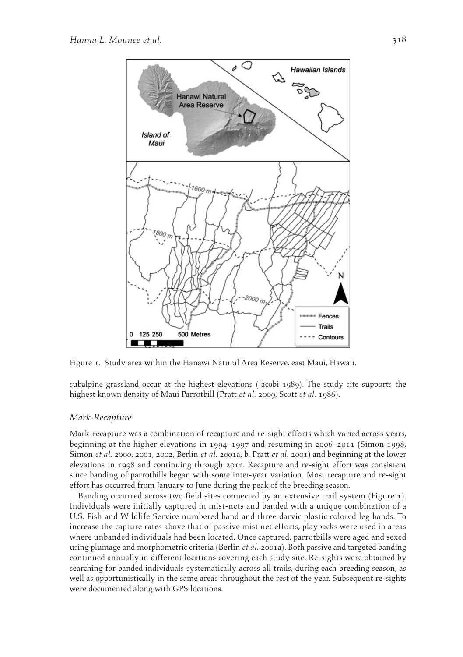

Figure 1. Study area within the Hanawi Natural Area Reserve, east Maui, Hawaii.

subalpine grassland occur at the highest elevations (Jacobi 1989 ). The study site supports the highest known density of Maui Parrotbill (Pratt *et al.* 2009, Scott *et al.* 1986).

#### *Mark-Recapture*

 Mark-recapture was a combination of recapture and re-sight efforts which varied across years, beginning at the higher elevations in 1994–1997 and resuming in 2006–2011 (Simon 1998, Simon *et al.* 2000, 2001, 2002, Berlin *et al.* 2001a, b, Pratt *et al.* 2001) and beginning at the lower elevations in 1998 and continuing through 2011. Recapture and re-sight effort was consistent since banding of parrotbills began with some inter-year variation. Most recapture and re-sight effort has occurred from January to June during the peak of the breeding season.

Banding occurred across two field sites connected by an extensive trail system (Figure 1). Individuals were initially captured in mist-nets and banded with a unique combination of a U.S. Fish and Wildlife Service numbered band and three darvic plastic colored leg bands. To increase the capture rates above that of passive mist net efforts, playbacks were used in areas where unbanded individuals had been located. Once captured, parrotbills were aged and sexed using plumage and morphometric criteria (Berlin *et al.* 2001a). Both passive and targeted banding continued annually in different locations covering each study site. Re-sights were obtained by searching for banded individuals systematically across all trails, during each breeding season, as well as opportunistically in the same areas throughout the rest of the year. Subsequent re-sights were documented along with GPS locations.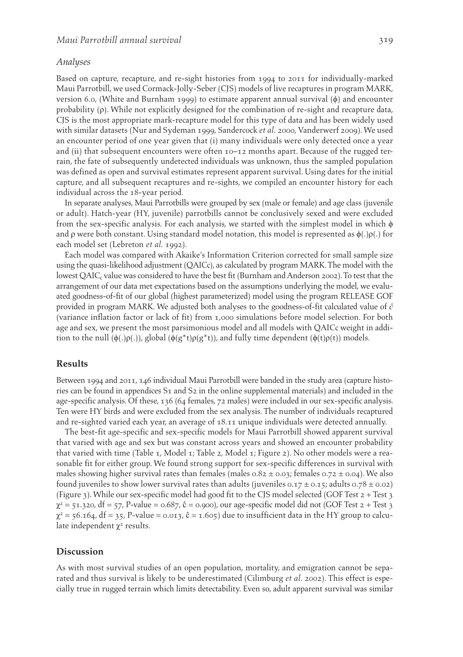#### *Analyses*

 Based on capture, recapture, and re-sight histories from 1994 to 2011 for individually-marked Maui Parrotbill, we used Cormack-Jolly-Seber (CJS) models of live recaptures in program MARK, version 6.0, (White and Burnham 1999) to estimate apparent annual survival  $(\phi)$  and encounter probability  $(\rho)$ . While not explicitly designed for the combination of re-sight and recapture data, CJS is the most appropriate mark-recapture model for this type of data and has been widely used with similar datasets (Nur and Sydeman 1999, Sandercock et al. 2000, Vanderwerf 2009). We used an encounter period of one year given that (i) many individuals were only detected once a year and (ii) that subsequent encounters were often  $10-12$  months apart. Because of the rugged terrain, the fate of subsequently undetected individuals was unknown, thus the sampled population was defined as open and survival estimates represent apparent survival. Using dates for the initial capture, and all subsequent recaptures and re-sights, we compiled an encounter history for each individual across the 18-year period.

 In separate analyses, Maui Parrotbills were grouped by sex (male or female) and age class (juvenile or adult). Hatch-year (HY, juvenile) parrotbills cannot be conclusively sexed and were excluded from the sex-specific analysis. For each analysis, we started with the simplest model in which  $\phi$ and  $\rho$  were both constant. Using standard model notation, this model is represented as  $\phi(.)\rho(.)$  for each model set (Lebreton *et al.* 1992 ).

 Each model was compared with Akaike's Information Criterion corrected for small sample size using the quasi-likelihood adjustment (QAICc), as calculated by program MARK. The model with the lowest QAIC, value was considered to have the best fit (Burnham and Anderson 2002). To test that the arrangement of our data met expectations based on the assumptions underlying the model, we evaluated goodness-of-fit of our global (highest parameterized) model using the program RELEASE GOF provided in program MARK. We adjusted both analyses to the goodness-of-fit calculated value of *ĉ* (variance inflation factor or lack of fit) from 1,000 simulations before model selection. For both age and sex, we present the most parsimonious model and all models with QAICc weight in addition to the null ( $φ(.)p(.)$ ), global ( $φ(g^*t)p(g^*t)$ ), and fully time dependent ( $φ(t)p(t)$ ) models.

#### **Results**

 Between 1994 and 2011, 146 individual Maui Parrotbill were banded in the study area (capture histories can be found in appendices S1 and S2 in the online supplemental materials) and included in the age-specific analysis. Of these, 136 (64 females, 72 males) were included in our sex-specific analysis. Ten were HY birds and were excluded from the sex analysis. The number of individuals recaptured and re-sighted varied each year, an average of 18.11 unique individuals were detected annually.

 The best-fit age-specific and sex-specific models for Maui Parrotbill showed apparent survival that varied with age and sex but was constant across years and showed an encounter probability that varied with time (Table 1, Model 1; Table 2, Model 1; Figure 2). No other models were a reasonable fit for either group. We found strong support for sex-specific differences in survival with males showing higher survival rates than females (males  $0.82 \pm 0.03$ ; females  $0.72 \pm 0.04$ ). We also found juveniles to show lower survival rates than adults (juveniles 0.17  $\pm$  0.15; adults 0.78  $\pm$  0.02) ( Figure 3 ). While our sex-specific model had good fit to the CJS model selected (GOF Test 2 + Test 3  $\chi^2$  = 51.320, df = 57, P-value = 0.687, ĉ = 0.900), our age-specific model did not (GOF Test 2 + Test 3  $\chi^2$  = 56.164, df = 35, P-value = 0.013,  $\hat{c}$  = 1.605) due to insufficient data in the HY group to calculate independent  $\chi^2$  results.

## **Discussion**

 As with most survival studies of an open population, mortality, and emigration cannot be separated and thus survival is likely to be underestimated (Cilimburg *et al.* 2002 ). This effect is especially true in rugged terrain which limits detectability. Even so, adult apparent survival was similar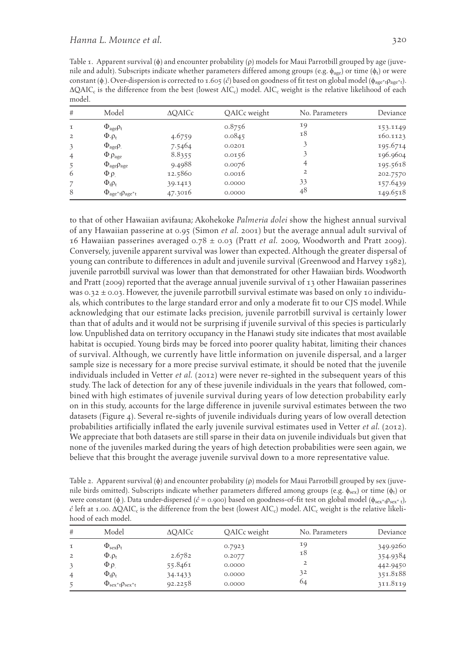Table 1. Apparent survival  $(\phi)$  and encounter probability  $(\rho)$  models for Maui Parrotbill grouped by age (juvenile and adult). Subscripts indicate whether parameters differed among groups (e.g.  $\phi_{\text{ave}}$ ) or time ( $\phi_t$ ) or were constant (φ). Over-dispersion is corrected to 1.605 (ĉ) based on goodness of fit test on global model (φ<sub>age\*t</sub>ρ<sub>age\*t</sub>).  $\Delta Q AIC_c$  is the difference from the best (lowest  $AIC_c$ ) model.  $AIC_c$  weight is the relative likelihood of each model.

| #              | Model                                         | $\triangle$ OAICc | QAICc weight | No. Parameters | Deviance |
|----------------|-----------------------------------------------|-------------------|--------------|----------------|----------|
| $\mathbf I$    | $\Phi_{\text{age}}\rho_{\text{t}}$            |                   | 0.8756       | 19             | 153.1149 |
| 2              | $\Phi \cdot \rho_t$                           | 4.6759            | 0.0845       | 18             | 160.1123 |
| 3              | $\Phi_{\text{age}}\rho$ .                     | 7.5464            | 0.0201       | 3              | 195.6714 |
| $\overline{4}$ | $\Phi$ <sub>.</sub> $\rho_{\text{age}}$       | 8.8355            | 0.0156       |                | 196.9604 |
| 5              | $\Phi_{\text{age}}\rho_{\text{age}}$          | 9.4988            | 0.0076       | 4              | 195.5618 |
| 6              | $\Phi_{\rho}$                                 | 12.5860           | 0.0016       | 2              | 202.7570 |
|                | $\Phi_{t}\rho_{t}$                            | 39.1413           | 0.0000       | 33             | 157.6439 |
| 8              | $\Phi_{\text{age}^*t}$ $\rho_{\text{age}^*t}$ | 47.3016           | 0.0000       | 48             | 149.6518 |

to that of other Hawaiian avifauna; Akohekoke *Palmeria dolei* show the highest annual survival of any Hawaiian passerine at 0.95 (Simon *et al.* 2001 ) but the average annual adult survival of 16 Hawaiian passerines averaged  $0.78 \pm 0.03$  (Pratt *et al.* 2009, Woodworth and Pratt 2009). Conversely, juvenile apparent survival was lower than expected. Although the greater dispersal of young can contribute to differences in adult and juvenile survival (Greenwood and Harvey 1982), juvenile parrotbill survival was lower than that demonstrated for other Hawaiian birds. Woodworth and Pratt (2009) reported that the average annual juvenile survival of 13 other Hawaiian passerines was  $0.32 \pm 0.03$ . However, the juvenile parrotbill survival estimate was based on only 10 individuals, which contributes to the large standard error and only a moderate fit to our CJS model. While acknowledging that our estimate lacks precision, juvenile parrotbill survival is certainly lower than that of adults and it would not be surprising if juvenile survival of this species is particularly low. Unpublished data on territory occupancy in the Hanawi study site indicates that most available habitat is occupied. Young birds may be forced into poorer quality habitat, limiting their chances of survival. Although, we currently have little information on juvenile dispersal, and a larger sample size is necessary for a more precise survival estimate, it should be noted that the juvenile individuals included in Vetter *et al.* ( 2012 ) were never re-sighted in the subsequent years of this study. The lack of detection for any of these juvenile individuals in the years that followed, combined with high estimates of juvenile survival during years of low detection probability early on in this study, accounts for the large difference in juvenile survival estimates between the two datasets (Figure 4). Several re-sights of juvenile individuals during years of low overall detection probabilities artificially inflated the early juvenile survival estimates used in Vetter *et al.* ( 2012 ). We appreciate that both datasets are still sparse in their data on juvenile individuals but given that none of the juveniles marked during the years of high detection probabilities were seen again, we believe that this brought the average juvenile survival down to a more representative value.

Table 2. Apparent survival ( $\phi$ ) and encounter probability ( $\rho$ ) models for Maui Parrotbill grouped by sex (juvenile birds omitted). Subscripts indicate whether parameters differed among groups (e.g.  $\phi_{sex}$ ) or time ( $\phi_t$ ) or were constant ( $\phi$ ). Data under-dispersed ( $\hat{c}$  = 0.900) based on goodness-of-fit test on global model ( $\phi_{sex^*t}$ ),  $\hat{c}$  left at 1.00.  $\Delta Q AIC_c$  is the difference from the best (lowest AIC<sub>c</sub>) model. AIC<sub>c</sub> weight is the relative likelihood of each model.

| #                                          | Model                                                                                                         | <b>AOAICc</b>                | QAICc weight                         | No. Parameters      | Deviance                                     |
|--------------------------------------------|---------------------------------------------------------------------------------------------------------------|------------------------------|--------------------------------------|---------------------|----------------------------------------------|
| $\tau$<br>$\overline{2}$<br>$\overline{4}$ | $\Phi_{\text{sex}}\rho_{\text{t}}$<br>$\Phi \cdot \rho_t$<br>$\Phi_{\cdot}$ $\rho_{\cdot}$<br>$\Phi_t \rho_t$ | 2.6782<br>55.8461<br>34.1433 | 0.7923<br>0.2077<br>0.0000<br>0.0000 | 19<br>18<br>2<br>32 | 349.9260<br>354.9384<br>442.9450<br>351.8188 |
|                                            | $\Phi_{\text{sex}*t}$ $\rho_{\text{sex}*t}$                                                                   | 92.2258                      | 0.0000                               | 64                  | 311.8119                                     |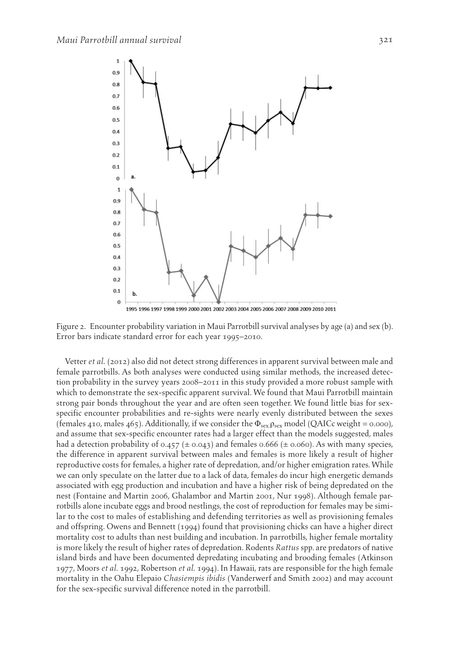

 Figure 2. Encounter probability variation in Maui Parrotbill survival analyses by age (a) and sex (b). Error bars indicate standard error for each year 1995–2010.

 Vetter *et al.* ( 2012 ) also did not detect strong differences in apparent survival between male and female parrotbills. As both analyses were conducted using similar methods, the increased detection probability in the survey years 2008–2011 in this study provided a more robust sample with which to demonstrate the sex-specific apparent survival. We found that Maui Parrotbill maintain strong pair bonds throughout the year and are often seen together. We found little bias for sexspecific encounter probabilities and re-sights were nearly evenly distributed between the sexes (females 410, males 465). Additionally, if we consider the  $\Phi_{\text{sex,} \rho_{\text{sex}}}$  model (QAICc weight = 0.000), and assume that sex-specific encounter rates had a larger effect than the models suggested, males had a detection probability of 0.457 ( $\pm$  0.043) and females 0.666 ( $\pm$  0.060). As with many species, the difference in apparent survival between males and females is more likely a result of higher reproductive costs for females, a higher rate of depredation, and/or higher emigration rates. While we can only speculate on the latter due to a lack of data, females do incur high energetic demands associated with egg production and incubation and have a higher risk of being depredated on the nest (Fontaine and Martin 2006, Ghalambor and Martin 2001, Nur 1998). Although female parrotbills alone incubate eggs and brood nestlings, the cost of reproduction for females may be similar to the cost to males of establishing and defending territories as well as provisioning females and offspring. Owens and Bennett ( 1994 ) found that provisioning chicks can have a higher direct mortality cost to adults than nest building and incubation. In parrotbills, higher female mortality is more likely the result of higher rates of depredation. Rodents *Rattus* spp. are predators of native island birds and have been documented depredating incubating and brooding females (Atkinson 1977 , Moors *et al.* 1992 , Robertson *et al.* 1994 ). In Hawaii, rats are responsible for the high female mortality in the Oahu Elepaio *Chasiempis ibidis* (Vanderwerf and Smith 2002 ) and may account for the sex-specific survival difference noted in the parrotbill.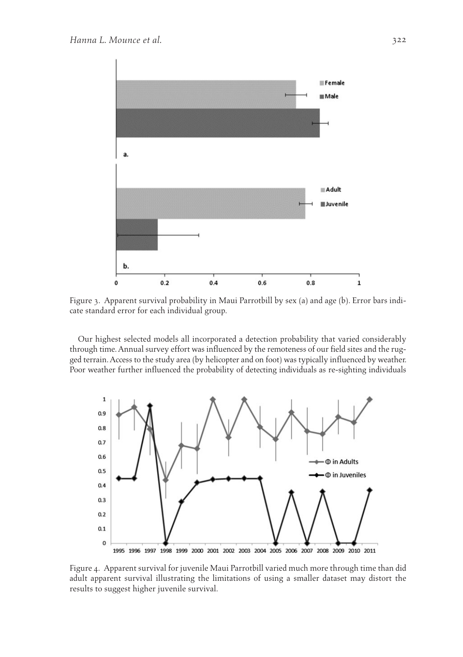

 Figure 3. Apparent survival probability in Maui Parrotbill by sex (a) and age (b). Error bars indicate standard error for each individual group.

 Our highest selected models all incorporated a detection probability that varied considerably through time. Annual survey effort was influenced by the remoteness of our field sites and the rugged terrain. Access to the study area (by helicopter and on foot) was typically influenced by weather. Poor weather further influenced the probability of detecting individuals as re-sighting individuals



 Figure 4. Apparent survival for juvenile Maui Parrotbill varied much more through time than did adult apparent survival illustrating the limitations of using a smaller dataset may distort the results to suggest higher juvenile survival.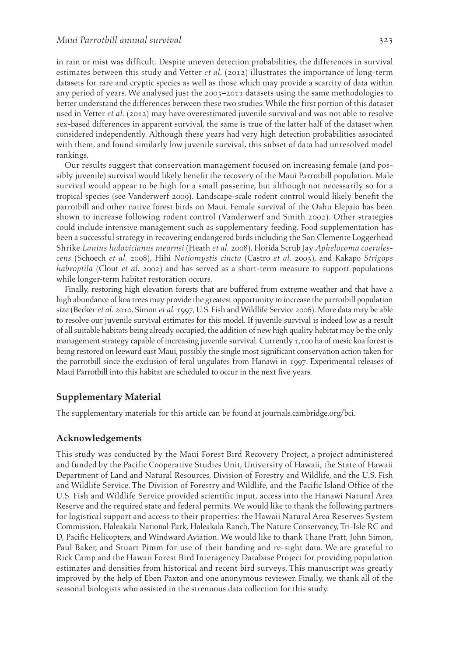in rain or mist was difficult. Despite uneven detection probabilities, the differences in survival estimates between this study and Vetter *et al.* ( 2012 ) illustrates the importance of long-term datasets for rare and cryptic species as well as those which may provide a scarcity of data within any period of years. We analysed just the 2003–2011 datasets using the same methodologies to better understand the differences between these two studies. While the first portion of this dataset used in Vetter *et al.* ( 2012 ) may have overestimated juvenile survival and was not able to resolve sex-based differences in apparent survival, the same is true of the latter half of the dataset when considered independently. Although these years had very high detection probabilities associated with them, and found similarly low juvenile survival, this subset of data had unresolved model rankings.

 Our results suggest that conservation management focused on increasing female (and possibly juvenile) survival would likely benefit the recovery of the Maui Parrotbill population. Male survival would appear to be high for a small passerine, but although not necessarily so for a tropical species (see Vanderwerf 2009 ). Landscape-scale rodent control would likely benefit the parrotbill and other native forest birds on Maui. Female survival of the Oahu Elepaio has been shown to increase following rodent control (Vanderwerf and Smith 2002 ). Other strategies could include intensive management such as supplementary feeding. Food supplementation has been a successful strategy in recovering endangered birds including the San Clemente Loggerhead Shrike *Lanius ludovicianus mearnsi* (Heath *et al.* 2008 ), Florida Scrub Jay *Aphelocoma coerulescens* (Schoech *et al.* 2008 ), Hihi *Notiomystis cincta* (Castro *et al.* 2003 ), and Kakapo *Strigops habroptila* (Clout *et al.* 2002) and has served as a short-term measure to support populations while longer-term habitat restoration occurs.

 Finally, restoring high elevation forests that are buffered from extreme weather and that have a high abundance of koa trees may provide the greatest opportunity to increase the parrotbill population size (Becker *et al.* 2010 , Simon *et al.* 1997 , U.S. Fish and Wildlife Service 2006). More data may be able to resolve our juvenile survival estimates for this model. If juvenile survival is indeed low as a result of all suitable habitats being already occupied, the addition of new high quality habitat may be the only management strategy capable of increasing juvenile survival. Currently 1,100 ha of mesic koa forest is being restored on leeward east Maui, possibly the single most significant conservation action taken for the parrotbill since the exclusion of feral ungulates from Hanawi in 1997. Experimental releases of Maui Parrotbill into this habitat are scheduled to occur in the next five years.

#### **Supplementary Material**

The supplementary materials for this article can be found at journals.cambridge.org/bci.

## **Acknowledgements**

 This study was conducted by the Maui Forest Bird Recovery Project, a project administered and funded by the Pacific Cooperative Studies Unit, University of Hawaii, the State of Hawaii Department of Land and Natural Resources, Division of Forestry and Wildlife, and the U.S. Fish and Wildlife Service. The Division of Forestry and Wildlife, and the Pacific Island Office of the U.S. Fish and Wildlife Service provided scientific input, access into the Hanawi Natural Area Reserve and the required state and federal permits. We would like to thank the following partners for logistical support and access to their properties: the Hawaii Natural Area Reserves System Commission, Haleakala National Park, Haleakala Ranch, The Nature Conservancy, Tri-Isle RC and D, Pacific Helicopters, and Windward Aviation. We would like to thank Thane Pratt, John Simon, Paul Baker, and Stuart Pimm for use of their banding and re-sight data. We are grateful to Rick Camp and the Hawaii Forest Bird Interagency Database Project for providing population estimates and densities from historical and recent bird surveys. This manuscript was greatly improved by the help of Eben Paxton and one anonymous reviewer. Finally, we thank all of the seasonal biologists who assisted in the strenuous data collection for this study.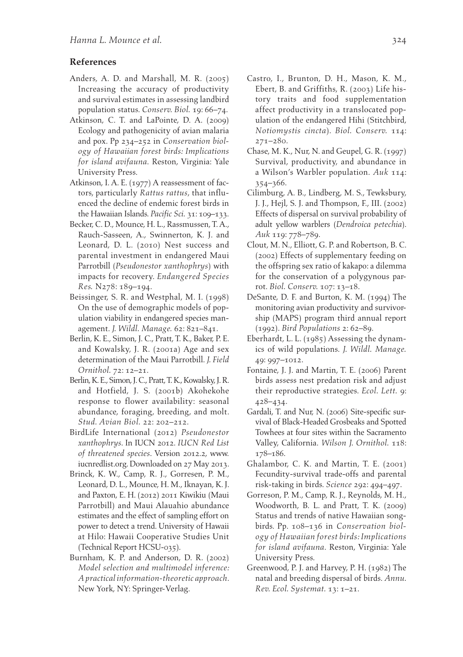## **References**

- Anders, A. D. and Marshall, M. R.  $(2005)$  Increasing the accuracy of productivity and survival estimates in assessing landbird population status . *Conserv. Biol.* 19 : 66 – 74 .
- Atkinson, C. T. and LaPointe, D. A. (2009) Ecology and pathogenicity of avian malaria and pox. Pp 234-252 in *Conservation biology of Hawaiian forest birds: Implications for island avifauna* . Reston, Virginia : Yale University Press.
- Atkinson, I. A. E. (1977) A reassessment of factors, particularly *Rattus rattus* , that influenced the decline of endemic forest birds in the Hawaiian Islands. *Pacific Sci.* 31: 109-133.
- Becker, C. D., Mounce, H. L., Rassmussen, T. A., Rauch-Sasseen, A., Swinnerton, K. J. and Leonard, D. L. (2010) Nest success and parental investment in endangered Maui Parrotbill (*Pseudonestor xanthophrys*) with impacts for recovery . *Endangered Species Res.* N278: 189-194.
- Beissinger, S. R. and Westphal, M. I. (1998) On the use of demographic models of population viability in endangered species management. *J. Wildl. Manage.* 62: 821-841.
- Berlin, K. E., Simon, J. C., Pratt, T. K., Baker, P. E. and Kowalsky, J. R. (2001a) Age and sex determination of the Maui Parrotbill . *J. Field Ornithol.* 72: 12-21.
- Berlin, K. E., Simon, J. C., Pratt, T. K., Kowalsky, J. R. and Hotfield, J. S. (2001b) Akohekohe response to flower availability: seasonal abundance, foraging, breeding, and molt. *Stud. Avian Biol.* 22: 202-212.
- BirdLife International ( 2012 ) *Pseudonestor xanthophrys* . In IUCN 2012. *IUCN Red List of threatened species* . Version 2012.2 , www. iucnredlist.org. Downloaded on 27 May 2013.
- Brinck, K. W., Camp, R. J., Gorresen, P. M., Leonard, D. L., Mounce, H. M., Iknayan, K. J. and Paxton, E. H. (2012) 2011 Kiwikiu (Maui Parrotbill) and Maui Alauahio abundance estimates and the effect of sampling effort on power to detect a trend. University of Hawaii at Hilo: Hawaii Cooperative Studies Unit (Technical Report HCSU-035) .
- Burnham, K. P. and Anderson, D. R. (2002) *Model selection and multimodel inference: A practical information-theoretic approach* . New York, NY: Springer-Verlag.
- Castro, I., Brunton, D. H., Mason, K. M., Ebert, B. and Griffiths, R. (2003) Life history traits and food supplementation affect productivity in a translocated population of the endangered Hihi (Stitchbird, *Notiomystis cincta* ) . *Biol. Conserv.* 114 :  $271 - 280.$
- Chase, M. K., Nur, N. and Geupel, G. R. (1997) Survival, productivity, and abundance in a Wilson's Warbler population . *Auk* 114 :  $354 - 366.$
- Cilimburg, A. B., Lindberg, M. S., Tewksbury, J. J., Hejl, S. J. and Thompson, F., III. (2002) Effects of dispersal on survival probability of adult yellow warblers (Dendroica petechia). Auk 119: 778-789.
- Clout, M. N., Elliott, G. P. and Robertson, B. C. ( 2002 ) Effects of supplementary feeding on the offspring sex ratio of kakapo: a dilemma for the conservation of a polygynous parrot. *Biol. Conserv.* 107: 13-18.
- DeSante, D. F. and Burton, K. M. (1994) The monitoring avian productivity and survivorship (MAPS) program third annual report (1992) . *Bird Populations* 2 : 62 – 89 .
- Eberhardt, L. L.  $(1985)$  Assessing the dynamics of wild populations . *J. Wildl. Manage.* 49: 997-1012.
- Fontaine, J. J. and Martin, T. E. (2006) Parent birds assess nest predation risk and adjust their reproductive strategies . *Ecol. Lett.* 9 :  $428 - 434.$
- Gardali, T. and Nur, N. (2006) Site-specific survival of Black-Headed Grosbeaks and Spotted Towhees at four sites within the Sacramento Valley, California . *Wilson J. Ornithol.* 118 : 178-186.
- Ghalambor, C. K. and Martin, T. E.  $(2001)$  Fecundity-survival trade-offs and parental risk-taking in birds. Science 292: 494-497.
- Gorreson, P. M., Camp, R. J., Reynolds, M. H., Woodworth, B. L. and Pratt, T. K. (2009) Status and trends of native Hawaiian songbirds. Pp. 108-136 in *Conservation biology of Hawaiian forest birds: Implications for island avifauna*. Reston, Virginia: Yale University Press.
- Greenwood, P. J. and Harvey, P. H. (1982) The natal and breeding dispersal of birds . *Annu. Rev. Ecol. Systemat.* 13: 1-21.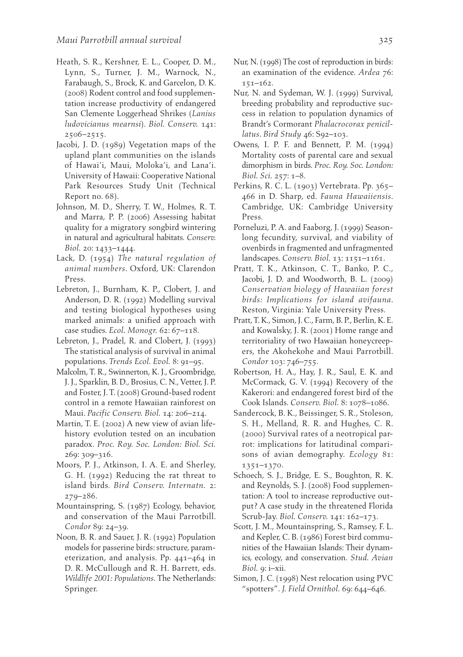- Heath, S. R., Kershner, E. L., Cooper, D. M., Lynn, S., Turner, J. M., Warnock, N., Farabaugh, S., Brock, K. and Garcelon, D. K. ( 2008 ) Rodent control and food supplementation increase productivity of endangered San Clemente Loggerhead Shrikes ( *Lanius ludovicianus mearnsi* ) . *Biol. Conserv.* 141 :  $2506 - 2515$ .
- Jacobi, J. D. (1989) Vegetation maps of the upland plant communities on the islands of Hawai'i, Maui, Moloka'i, and Lana'i. University of Hawaii: Cooperative National Park Resources Study Unit (Technical Report no. 68) .
- Johnson, M. D., Sherry, T. W., Holmes, R. T. and Marra, P. P. (2006) Assessing habitat quality for a migratory songbird wintering in natural and agricultural habitats . *Conserv. Biol.* 20: 1433-1444.
- Lack, D. (1954) *The natural regulation of animal numbers* . Oxford, UK : Clarendon Press.
- Lebreton, J., Burnham, K. P., Clobert, J. and Anderson, D. R. (1992) Modelling survival and testing biological hypotheses using marked animals: a unified approach with case studies. *Ecol. Monogr.* 62: 67-118.
- Lebreton, J., Pradel, R. and Clobert, J. (1993) The statistical analysis of survival in animal populations. *Trends Ecol. Evol.* 8: 91-95.
- Malcolm, T. R., Swinnerton, K. J., Groombridge, J. J., Sparklin, B. D., Brosius, C. N., Vetter, J. P. and Foster, J. T. (2008) Ground-based rodent control in a remote Hawaiian rainforest on Maui. *Pacific Conserv. Biol.* 14: 206-214.
- Martin, T. E. (2002) A new view of avian lifehistory evolution tested on an incubation paradox . *Proc. Roy. Soc. London: Biol. Sci.* 269: 309-316.
- Moors, P. J., Atkinson, I. A. E. and Sherley, G. H. (1992) Reducing the rat threat to island birds. *Bird Conserv. Internatn.* 2:  $279 - 286$ .
- Mountainspring, S. (1987) Ecology, behavior, and conservation of the Maui Parrotbill. *Condor* 89: 24-39.
- Noon, B. R. and Sauer, J. R. (1992) Population models for passerine birds: structure, parameterization, and analysis. Pp.  $441 - 464$  in D. R. McCullough and R. H. Barrett, eds. *Wildlife 2001: Populations*. The Netherlands: Springer.
- Nur, N. (1998) The cost of reproduction in birds: an examination of the evidence. Ardea 76:  $151 - 162$ .
- Nur, N. and Sydeman, W. J. (1999) Survival, breeding probability and reproductive success in relation to population dynamics of Brandt's Cormorant *Phalacrocorax penicillatus*. *Bird Study* 46: S92-103.
- Owens, I. P. F. and Bennett, P. M.  $(1994)$  Mortality costs of parental care and sexual dimorphism in birds . *Proc. Roy. Soc. London: Biol. Sci.* 257: 1-8.
- Perkins, R. C. L. (1903) Vertebrata. Pp. 365-466 in D. Sharp , ed. *Fauna Hawaiiensis* . Cambridge, UK: Cambridge University Press.
- Porneluzi, P. A. and Faaborg, J. (1999) Seasonlong fecundity, survival, and viability of ovenbirds in fragmented and unfragmented landscapes. *Conserv. Biol.* 13: 1151-1161.
- Pratt, T. K., Atkinson, C. T., Banko, P. C., Jacobi, J. D. and Woodworth, B. L. (2009) *Conservation biology of Hawaiian forest birds: Implications for island avifauna* . Reston, Virginia: Yale University Press.
- Pratt, T. K., Simon, J. C., Farm, B. P., Berlin, K. E. and Kowalsky, J. R. (2001) Home range and territoriality of two Hawaiian honeycreepers, the Akohekohe and Maui Parrotbill. Condor 103: 746-755.
- Robertson, H. A., Hay, J. R., Saul, E. K. and McCormack, G. V. (1994) Recovery of the Kakerori: and endangered forest bird of the Cook Islands. *Conserv. Biol.* 8: 1078-1086.
- Sandercock, B. K., Beissinger, S. R., Stoleson, S. H., Melland, R. R. and Hughes, C. R. ( 2000 ) Survival rates of a neotropical parrot: implications for latitudinal comparisons of avian demography. *Ecology* 81: 1351-1370.
- Schoech, S. J., Bridge, E. S., Boughton, R. K. and Reynolds, S. J. (2008) Food supplementation: A tool to increase reproductive output? A case study in the threatened Florida Scrub-Jay. *Biol. Conserv.* 141: 162-173.
- Scott, J. M., Mountainspring, S., Ramsey, F. L. and Kepler, C. B. (1986) Forest bird communities of the Hawaiian Islands: Their dynamics, ecology, and conservation . *Stud. Avian Biol.* 9: i-xii.
- Simon, J. C. (1998) Nest relocation using PVC "spotters". *J. Field Ornithol.* 69: 644–646.